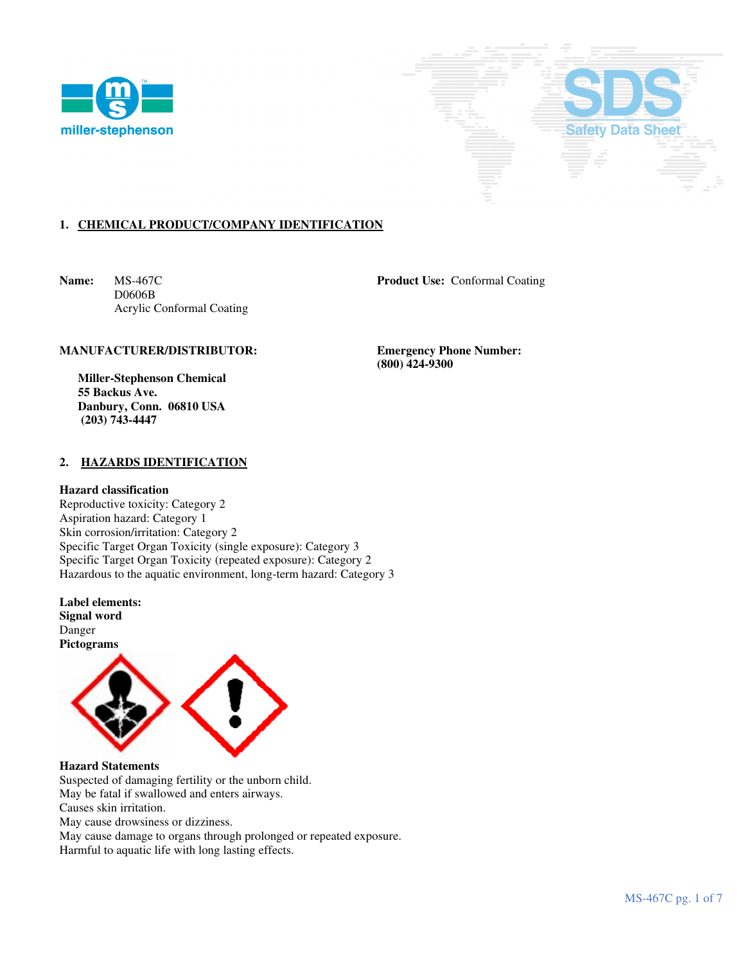



# **1. CHEMICAL PRODUCT/COMPANY IDENTIFICATION**

**Name:** MS-467C **Product Use:** Conformal Coating D0606B Acrylic Conformal Coating

### **MANUFACTURER/DISTRIBUTOR: Emergency Phone Number:**

 **Miller-Stephenson Chemical 55 Backus Ave. Danbury, Conn. 06810 USA (203) 743-4447** 

### **2. HAZARDS IDENTIFICATION**

#### **Hazard classification**

Reproductive toxicity: Category 2 Aspiration hazard: Category 1 Skin corrosion/irritation: Category 2 Specific Target Organ Toxicity (single exposure): Category 3 Specific Target Organ Toxicity (repeated exposure): Category 2 Hazardous to the aquatic environment, long-term hazard: Category 3

**Label elements: Signal word**  Danger **Pictograms**



**Hazard Statements**  Suspected of damaging fertility or the unborn child. May be fatal if swallowed and enters airways. Causes skin irritation.

May cause drowsiness or dizziness.

May cause damage to organs through prolonged or repeated exposure.

Harmful to aquatic life with long lasting effects.

 **(800) 424-9300**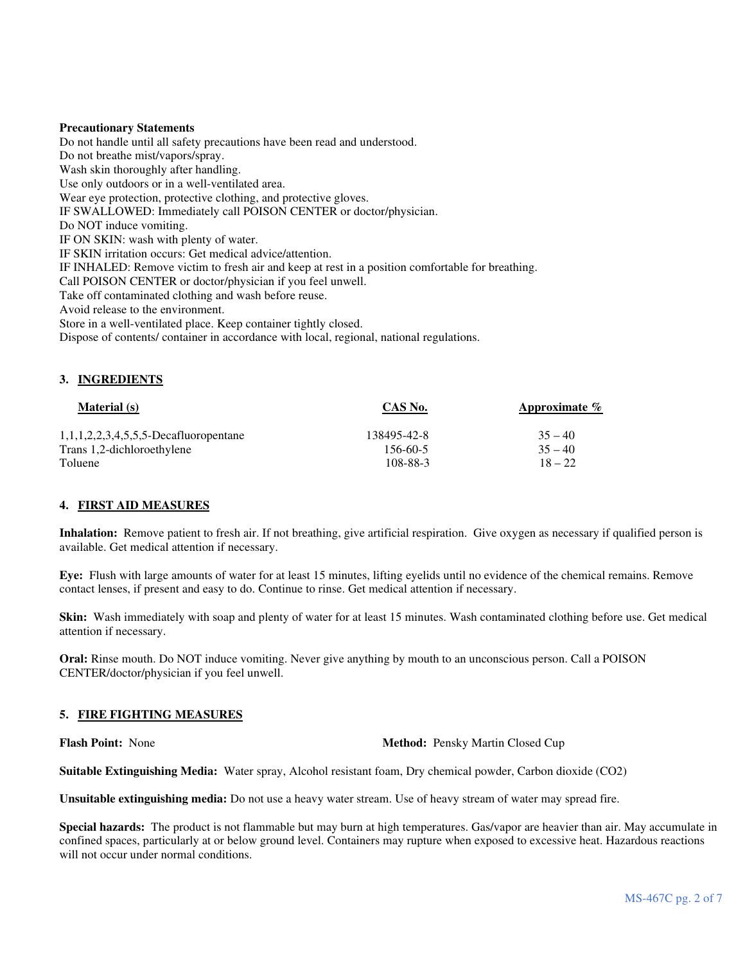### **Precautionary Statements**

Do not handle until all safety precautions have been read and understood. Do not breathe mist/vapors/spray. Wash skin thoroughly after handling. Use only outdoors or in a well-ventilated area. Wear eye protection, protective clothing, and protective gloves. IF SWALLOWED: Immediately call POISON CENTER or doctor/physician. Do NOT induce vomiting. IF ON SKIN: wash with plenty of water. IF SKIN irritation occurs: Get medical advice/attention. IF INHALED: Remove victim to fresh air and keep at rest in a position comfortable for breathing. Call POISON CENTER or doctor/physician if you feel unwell. Take off contaminated clothing and wash before reuse. Avoid release to the environment. Store in a well-ventilated place. Keep container tightly closed. Dispose of contents/ container in accordance with local, regional, national regulations.

### **3. INGREDIENTS**

| <b>Material</b> (s)                      | CAS No.     | Approximate $\%$ |  |
|------------------------------------------|-------------|------------------|--|
| $1,1,1,2,2,3,4,5,5,5$ -Decafluoropentane | 138495-42-8 | $35 - 40$        |  |
| Trans 1,2-dichloroethylene               | 156-60-5    | $35 - 40$        |  |
| Toluene                                  | 108-88-3    | $18 - 22$        |  |

# **4. FIRST AID MEASURES**

**Inhalation:** Remove patient to fresh air. If not breathing, give artificial respiration. Give oxygen as necessary if qualified person is available. Get medical attention if necessary.

**Eye:** Flush with large amounts of water for at least 15 minutes, lifting eyelids until no evidence of the chemical remains. Remove contact lenses, if present and easy to do. Continue to rinse. Get medical attention if necessary.

**Skin:** Wash immediately with soap and plenty of water for at least 15 minutes. Wash contaminated clothing before use. Get medical attention if necessary.

**Oral:** Rinse mouth. Do NOT induce vomiting. Never give anything by mouth to an unconscious person. Call a POISON CENTER/doctor/physician if you feel unwell.

#### **5. FIRE FIGHTING MEASURES**

**Flash Point:** None **Method:** Pensky Martin Closed Cup

**Suitable Extinguishing Media:** Water spray, Alcohol resistant foam, Dry chemical powder, Carbon dioxide (CO2)

**Unsuitable extinguishing media:** Do not use a heavy water stream. Use of heavy stream of water may spread fire.

**Special hazards:** The product is not flammable but may burn at high temperatures. Gas/vapor are heavier than air. May accumulate in confined spaces, particularly at or below ground level. Containers may rupture when exposed to excessive heat. Hazardous reactions will not occur under normal conditions.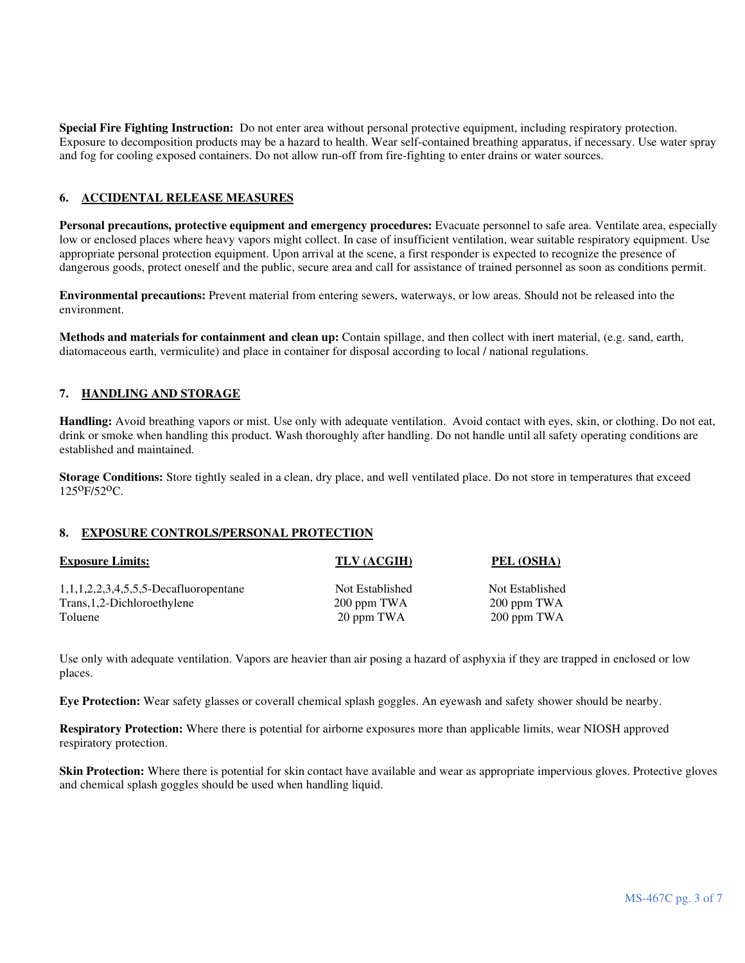**Special Fire Fighting Instruction:** Do not enter area without personal protective equipment, including respiratory protection. Exposure to decomposition products may be a hazard to health. Wear self-contained breathing apparatus, if necessary. Use water spray and fog for cooling exposed containers. Do not allow run-off from fire-fighting to enter drains or water sources.

# **6. ACCIDENTAL RELEASE MEASURES**

**Personal precautions, protective equipment and emergency procedures:** Evacuate personnel to safe area. Ventilate area, especially low or enclosed places where heavy vapors might collect. In case of insufficient ventilation, wear suitable respiratory equipment. Use appropriate personal protection equipment. Upon arrival at the scene, a first responder is expected to recognize the presence of dangerous goods, protect oneself and the public, secure area and call for assistance of trained personnel as soon as conditions permit.

**Environmental precautions:** Prevent material from entering sewers, waterways, or low areas. Should not be released into the environment.

**Methods and materials for containment and clean up:** Contain spillage, and then collect with inert material, (e.g. sand, earth, diatomaceous earth, vermiculite) and place in container for disposal according to local / national regulations.

# **7. HANDLING AND STORAGE**

**Handling:** Avoid breathing vapors or mist. Use only with adequate ventilation. Avoid contact with eyes, skin, or clothing. Do not eat, drink or smoke when handling this product. Wash thoroughly after handling. Do not handle until all safety operating conditions are established and maintained.

**Storage Conditions:** Store tightly sealed in a clean, dry place, and well ventilated place. Do not store in temperatures that exceed 125oF/52oC.

#### **8. EXPOSURE CONTROLS/PERSONAL PROTECTION**

| <b>Exposure Limits:</b>                  | TLV (ACGIH)     | PEL (OSHA)      |
|------------------------------------------|-----------------|-----------------|
| $1,1,1,2,2,3,4,5,5,5$ -Decafluoropentane | Not Established | Not Established |
| Trans, 1, 2-Dichloroethylene             | 200 ppm TWA     | 200 ppm TWA     |
| Toluene                                  | 20 ppm TWA      | 200 ppm TWA     |

Use only with adequate ventilation. Vapors are heavier than air posing a hazard of asphyxia if they are trapped in enclosed or low places.

**Eye Protection:** Wear safety glasses or coverall chemical splash goggles. An eyewash and safety shower should be nearby.

**Respiratory Protection:** Where there is potential for airborne exposures more than applicable limits, wear NIOSH approved respiratory protection.

**Skin Protection:** Where there is potential for skin contact have available and wear as appropriate impervious gloves. Protective gloves and chemical splash goggles should be used when handling liquid.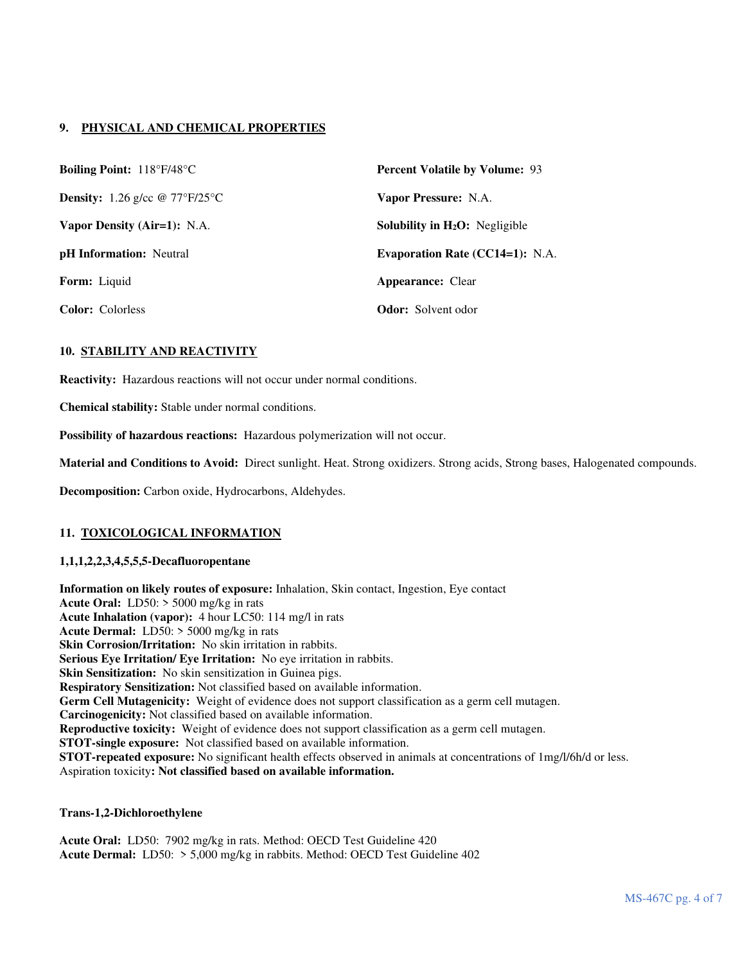# **9. PHYSICAL AND CHEMICAL PROPERTIES**

| <b>Boiling Point:</b> $118^{\circ}F/48^{\circ}C$ | <b>Percent Volatile by Volume: 93</b>              |
|--------------------------------------------------|----------------------------------------------------|
| <b>Density:</b> 1.26 g/cc $\omega$ 77°F/25°C     | Vapor Pressure: N.A.                               |
| Vapor Density (Air=1): N.A.                      | <b>Solubility in <math>H_2O</math>:</b> Negligible |
| <b>pH</b> Information: Neutral                   | <b>Evaporation Rate (CC14=1): N.A.</b>             |
| <b>Form:</b> Liquid                              | <b>Appearance: Clear</b>                           |
| <b>Color:</b> Colorless                          | <b>Odor:</b> Solvent odor                          |

# **10. STABILITY AND REACTIVITY**

**Reactivity:** Hazardous reactions will not occur under normal conditions.

**Chemical stability:** Stable under normal conditions.

**Possibility of hazardous reactions:** Hazardous polymerization will not occur.

**Material and Conditions to Avoid:** Direct sunlight. Heat. Strong oxidizers. Strong acids, Strong bases, Halogenated compounds.

**Decomposition:** Carbon oxide, Hydrocarbons, Aldehydes.

#### **11. TOXICOLOGICAL INFORMATION**

#### **1,1,1,2,2,3,4,5,5,5-Decafluoropentane**

**Information on likely routes of exposure:** Inhalation, Skin contact, Ingestion, Eye contact **Acute Oral:** LD50: > 5000 mg/kg in rats **Acute Inhalation (vapor):** 4 hour LC50: 114 mg/l in rats **Acute Dermal:** LD50: > 5000 mg/kg in rats **Skin Corrosion/Irritation:** No skin irritation in rabbits. **Serious Eye Irritation/ Eye Irritation:** No eye irritation in rabbits. **Skin Sensitization:** No skin sensitization in Guinea pigs. **Respiratory Sensitization:** Not classified based on available information. **Germ Cell Mutagenicity:** Weight of evidence does not support classification as a germ cell mutagen. **Carcinogenicity:** Not classified based on available information. **Reproductive toxicity:** Weight of evidence does not support classification as a germ cell mutagen. **STOT-single exposure:** Not classified based on available information. **STOT-repeated exposure:** No significant health effects observed in animals at concentrations of 1mg/l/6h/d or less. Aspiration toxicity**: Not classified based on available information.**

#### **Trans-1,2-Dichloroethylene**

**Acute Oral:** LD50: 7902 mg/kg in rats. Method: OECD Test Guideline 420 **Acute Dermal:** LD50: > 5,000 mg/kg in rabbits. Method: OECD Test Guideline 402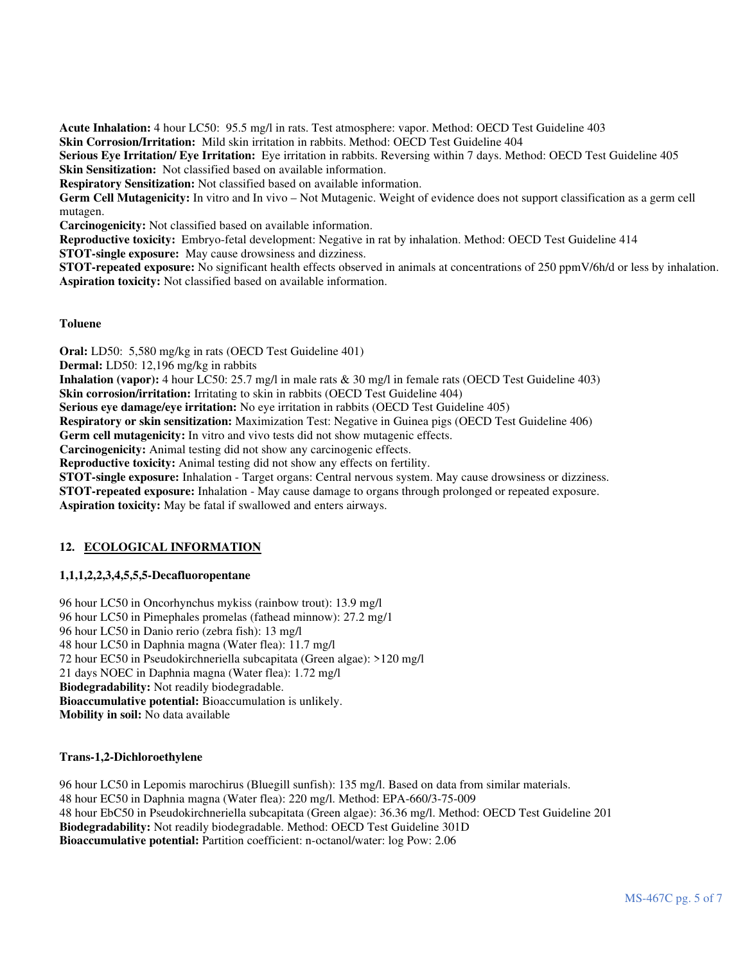**Acute Inhalation:** 4 hour LC50: 95.5 mg/l in rats. Test atmosphere: vapor. Method: OECD Test Guideline 403 **Skin Corrosion/Irritation:** Mild skin irritation in rabbits. Method: OECD Test Guideline 404 **Serious Eye Irritation/ Eye Irritation:** Eye irritation in rabbits. Reversing within 7 days. Method: OECD Test Guideline 405

**Skin Sensitization:** Not classified based on available information.

**Respiratory Sensitization:** Not classified based on available information.

**Germ Cell Mutagenicity:** In vitro and In vivo – Not Mutagenic. Weight of evidence does not support classification as a germ cell mutagen.

**Carcinogenicity:** Not classified based on available information.

**Reproductive toxicity:** Embryo-fetal development: Negative in rat by inhalation. Method: OECD Test Guideline 414 **STOT-single exposure:** May cause drowsiness and dizziness.

**STOT-repeated exposure:** No significant health effects observed in animals at concentrations of 250 ppmV/6h/d or less by inhalation. **Aspiration toxicity:** Not classified based on available information.

# **Toluene**

**Oral:** LD50: 5,580 mg/kg in rats (OECD Test Guideline 401)

**Dermal:** LD50: 12,196 mg/kg in rabbits

**Inhalation (vapor):** 4 hour LC50: 25.7 mg/l in male rats & 30 mg/l in female rats (OECD Test Guideline 403)

**Skin corrosion/irritation:** Irritating to skin in rabbits (OECD Test Guideline 404)

**Serious eye damage/eye irritation:** No eye irritation in rabbits (OECD Test Guideline 405)

**Respiratory or skin sensitization:** Maximization Test: Negative in Guinea pigs (OECD Test Guideline 406)

**Germ cell mutagenicity:** In vitro and vivo tests did not show mutagenic effects.

**Carcinogenicity:** Animal testing did not show any carcinogenic effects.

**Reproductive toxicity:** Animal testing did not show any effects on fertility.

**STOT-single exposure:** Inhalation - Target organs: Central nervous system. May cause drowsiness or dizziness.

**STOT-repeated exposure:** Inhalation - May cause damage to organs through prolonged or repeated exposure.

**Aspiration toxicity:** May be fatal if swallowed and enters airways.

# **12. ECOLOGICAL INFORMATION**

# **1,1,1,2,2,3,4,5,5,5-Decafluoropentane**

96 hour LC50 in Oncorhynchus mykiss (rainbow trout): 13.9 mg/l 96 hour LC50 in Pimephales promelas (fathead minnow): 27.2 mg/1 96 hour LC50 in Danio rerio (zebra fish): 13 mg/l 48 hour LC50 in Daphnia magna (Water flea): 11.7 mg/l 72 hour EC50 in Pseudokirchneriella subcapitata (Green algae): >120 mg/l 21 days NOEC in Daphnia magna (Water flea): 1.72 mg/l **Biodegradability:** Not readily biodegradable. **Bioaccumulative potential:** Bioaccumulation is unlikely. **Mobility in soil:** No data available

# **Trans-1,2-Dichloroethylene**

96 hour LC50 in Lepomis marochirus (Bluegill sunfish): 135 mg/l. Based on data from similar materials. 48 hour EC50 in Daphnia magna (Water flea): 220 mg/l. Method: EPA-660/3-75-009 48 hour EbC50 in Pseudokirchneriella subcapitata (Green algae): 36.36 mg/l. Method: OECD Test Guideline 201 **Biodegradability:** Not readily biodegradable. Method: OECD Test Guideline 301D **Bioaccumulative potential:** Partition coefficient: n-octanol/water: log Pow: 2.06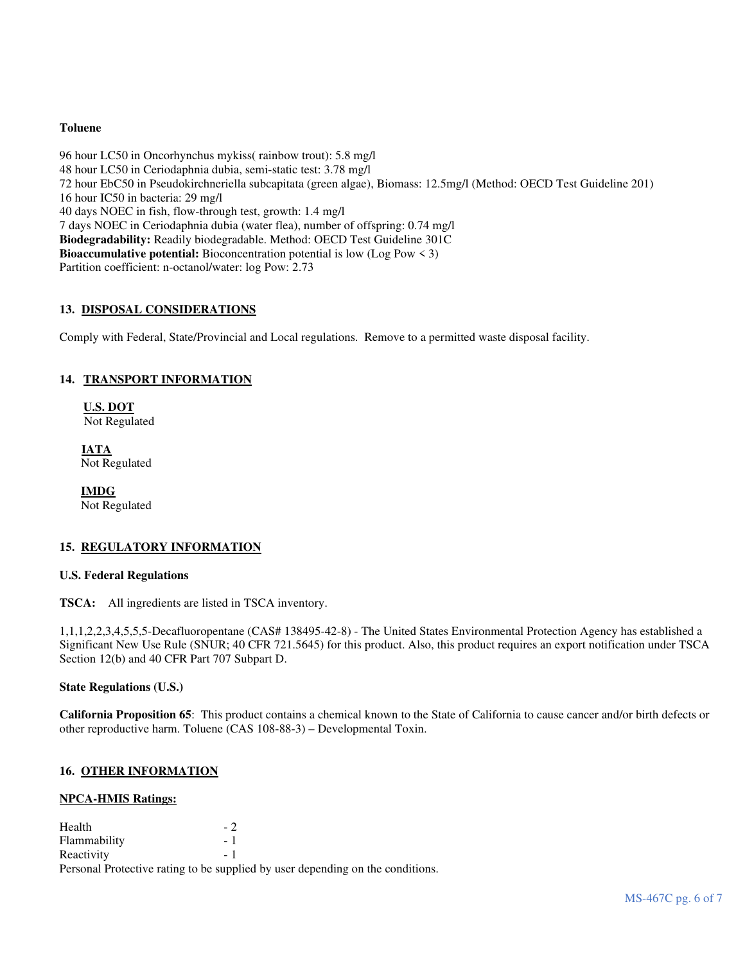# **Toluene**

96 hour LC50 in Oncorhynchus mykiss( rainbow trout): 5.8 mg/l 48 hour LC50 in Ceriodaphnia dubia, semi-static test: 3.78 mg/l 72 hour EbC50 in Pseudokirchneriella subcapitata (green algae), Biomass: 12.5mg/l (Method: OECD Test Guideline 201) 16 hour IC50 in bacteria: 29 mg/l 40 days NOEC in fish, flow-through test, growth: 1.4 mg/l 7 days NOEC in Ceriodaphnia dubia (water flea), number of offspring: 0.74 mg/l **Biodegradability:** Readily biodegradable. Method: OECD Test Guideline 301C **Bioaccumulative potential:** Bioconcentration potential is low (Log Pow  $\leq$  3) Partition coefficient: n-octanol/water: log Pow: 2.73

### **13. DISPOSAL CONSIDERATIONS**

Comply with Federal, State/Provincial and Local regulations. Remove to a permitted waste disposal facility.

### **14. TRANSPORT INFORMATION**

**U.S. DOT** Not Regulated

**IATA** Not Regulated

 **IMDG** Not Regulated

#### **15. REGULATORY INFORMATION**

### **U.S. Federal Regulations**

**TSCA:** All ingredients are listed in TSCA inventory.

1,1,1,2,2,3,4,5,5,5-Decafluoropentane (CAS# 138495-42-8) - The United States Environmental Protection Agency has established a Significant New Use Rule (SNUR; 40 CFR 721.5645) for this product. Also, this product requires an export notification under TSCA Section 12(b) and 40 CFR Part 707 Subpart D.

**State Regulations (U.S.)** 

**California Proposition 65**: This product contains a chemical known to the State of California to cause cancer and/or birth defects or other reproductive harm. Toluene (CAS 108-88-3) – Developmental Toxin.

#### **16. OTHER INFORMATION**

#### **NPCA-HMIS Ratings:**

| Health       | $-2$ |                                                                                |
|--------------|------|--------------------------------------------------------------------------------|
| Flammability | $-1$ |                                                                                |
| Reactivity   | - 1  |                                                                                |
|              |      | Personal Protective rating to be supplied by user depending on the conditions. |